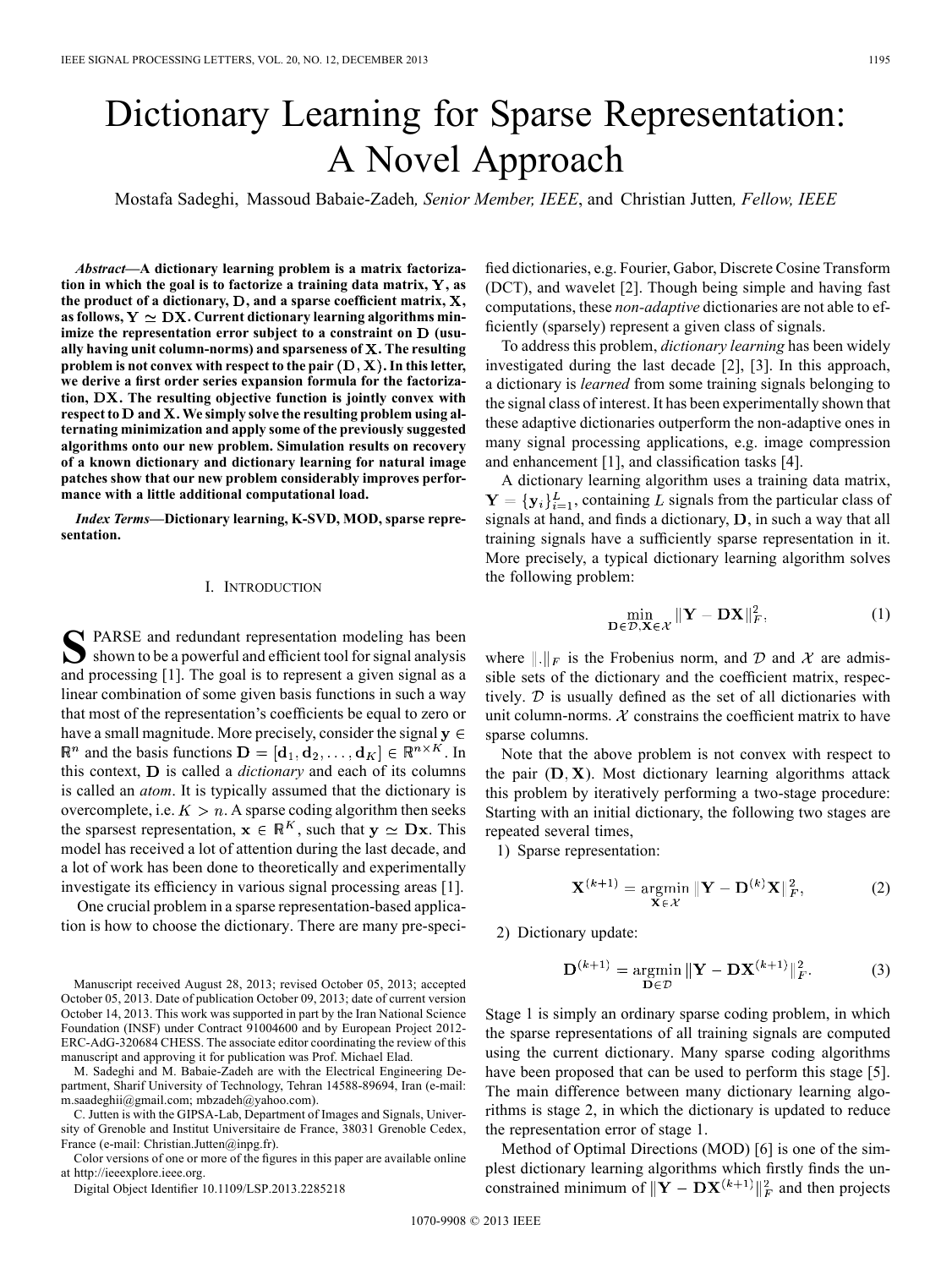# Dictionary Learning for Sparse Representation: A Novel Approach

Mostafa Sadeghi, Massoud Babaie-Zadeh*, Senior Member, IEEE*, and Christian Jutten*, Fellow, IEEE*

*Abstract—***A dictionary learning problem is a matrix factorization in which the goal is to factorize a training data matrix, Y, as** the product of a dictionary,  $D$ , and a sparse coefficient matrix,  $X$ , as follows,  $Y \simeq DX$ . Current dictionary learning algorithms minimize the representation error subject to a constraint on D (usu**ally having unit column-norms) and sparseness of . The resulting problem is not convex with respect to the pair . In this letter, we derive a first order series expansion formula for the factorization, . The resulting objective function is jointly convex with respect to and . We simply solve the resulting problem using alternating minimization and apply some of the previously suggested algorithms onto our new problem. Simulation results on recovery of a known dictionary and dictionary learning for natural image patches show that our new problem considerably improves performance with a little additional computational load.**

*Index Terms—***Dictionary learning, K-SVD, MOD, sparse representation.**

### I. INTRODUCTION

SPARSE and redundant representation modeling has been<br>shown to be a powerful and efficient tool for signal analysis and processing [1]. The goal is to represent a given signal as a linear combination of some given basis functions in such a way that most of the representation's coefficients be equal to zero or have a small magnitude. More precisely, consider the signal  $y \in$  $\mathbb{R}^n$  and the basis functions  $\mathbf{D} = [\mathbf{d}_1, \mathbf{d}_2, \dots, \mathbf{d}_K] \in \mathbb{R}^{n \times K}$ . In this context, **D** is called a *dictionary* and each of its columns is called an *atom*. It is typically assumed that the dictionary is overcomplete, i.e.  $K > n$ . A sparse coding algorithm then seeks the sparsest representation,  $x \in \mathbb{R}^K$ , such that  $y \simeq Dx$ . This model has received a lot of attention during the last decade, and a lot of work has been done to theoretically and experimentally investigate its efficiency in various signal processing areas [1].

One crucial problem in a sparse representation-based application is how to choose the dictionary. There are many pre-speci-

Manuscript received August 28, 2013; revised October 05, 2013; accepted October 05, 2013. Date of publication October 09, 2013; date of current version October 14, 2013. This work was supported in part by the Iran National Science Foundation (INSF) under Contract 91004600 and by European Project 2012- ERC-AdG-320684 CHESS. The associate editor coordinating the review of this manuscript and approving it for publication was Prof. Michael Elad.

M. Sadeghi and M. Babaie-Zadeh are with the Electrical Engineering Department, Sharif University of Technology, Tehran 14588-89694, Iran (e-mail: m.saadeghii@gmail.com; mbzadeh@yahoo.com).

C. Jutten is with the GIPSA-Lab, Department of Images and Signals, University of Grenoble and Institut Universitaire de France, 38031 Grenoble Cedex, France (e-mail: Christian.Jutten@inpg.fr).

Color versions of one or more of the figures in this paper are available online at http://ieeexplore.ieee.org.

Digital Object Identifier 10.1109/LSP.2013.2285218

fied dictionaries, e.g. Fourier, Gabor, Discrete Cosine Transform (DCT), and wavelet [2]. Though being simple and having fast computations, these *non-adaptive* dictionaries are not able to efficiently (sparsely) represent a given class of signals.

To address this problem, *dictionary learning* has been widely investigated during the last decade [2], [3]. In this approach, a dictionary is *learned* from some training signals belonging to the signal class of interest. It has been experimentally shown that these adaptive dictionaries outperform the non-adaptive ones in many signal processing applications, e.g. image compression and enhancement [1], and classification tasks [4].

A dictionary learning algorithm uses a training data matrix,  $Y = \{y_i\}_{i=1}^L$ , containing L signals from the particular class of signals at hand, and finds a dictionary,  $D$ , in such a way that all training signals have a sufficiently sparse representation in it. More precisely, a typical dictionary learning algorithm solves the following problem:

$$
\min_{\mathbf{D}\in\mathcal{D},\mathbf{X}\in\mathcal{X}}\|\mathbf{Y}-\mathbf{D}\mathbf{X}\|_F^2,
$$
\n(1)

where  $\|.\|_F$  is the Frobenius norm, and D and X are admissible sets of the dictionary and the coefficient matrix, respectively.  $D$  is usually defined as the set of all dictionaries with unit column-norms.  $\mathcal X$  constrains the coefficient matrix to have sparse columns.

Note that the above problem is not convex with respect to the pair  $(D, X)$ . Most dictionary learning algorithms attack this problem by iteratively performing a two-stage procedure: Starting with an initial dictionary, the following two stages are repeated several times,

1) Sparse representation:

$$
\mathbf{X}^{(k+1)} = \underset{\mathbf{X} \in \mathcal{X}}{\operatorname{argmin}} \|\mathbf{Y} - \mathbf{D}^{(k)}\mathbf{X}\|_{F}^{2},\tag{2}
$$

2) Dictionary update:

$$
\mathbf{D}^{(k+1)} = \underset{\mathbf{D} \in \mathcal{D}}{\operatorname{argmin}} \|\mathbf{Y} - \mathbf{D}\mathbf{X}^{(k+1)}\|_{F}^{2}.
$$
 (3)

Stage 1 is simply an ordinary sparse coding problem, in which the sparse representations of all training signals are computed using the current dictionary. Many sparse coding algorithms have been proposed that can be used to perform this stage [5]. The main difference between many dictionary learning algorithms is stage 2, in which the dictionary is updated to reduce the representation error of stage 1.

Method of Optimal Directions (MOD) [6] is one of the simplest dictionary learning algorithms which firstly finds the unconstrained minimum of  $\|\mathbf{Y} - \mathbf{DX}^{(k+1)}\|_F^2$  and then projects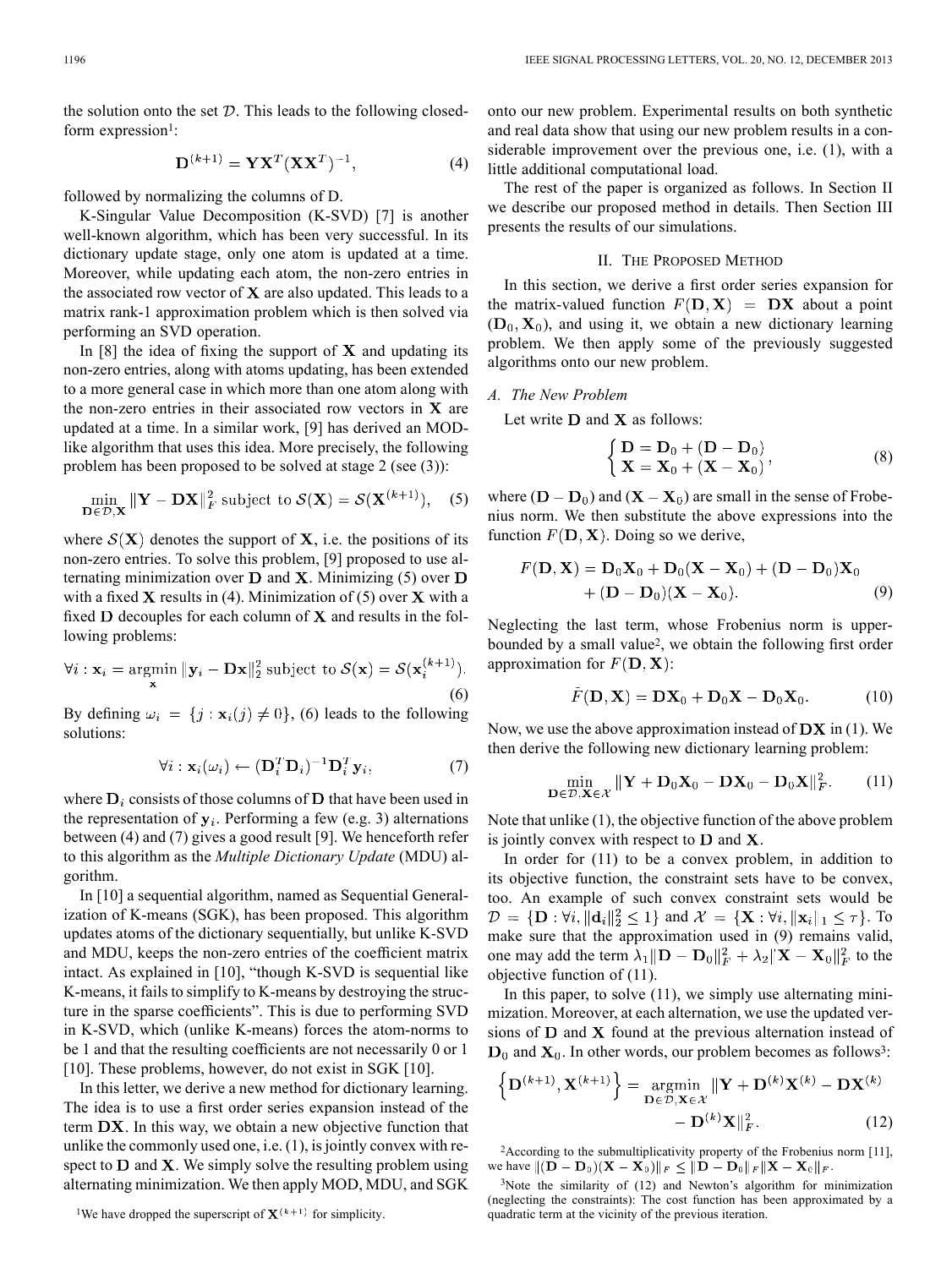the solution onto the set  $D$ . This leads to the following closedform expression<sup>1</sup>:

$$
\mathbf{D}^{(k+1)} = \mathbf{Y} \mathbf{X}^T (\mathbf{X} \mathbf{X}^T)^{-1},\tag{4}
$$

followed by normalizing the columns of D.

K-Singular Value Decomposition (K-SVD) [7] is another well-known algorithm, which has been very successful. In its dictionary update stage, only one atom is updated at a time. Moreover, while updating each atom, the non-zero entries in the associated row vector of  $X$  are also updated. This leads to a matrix rank-1 approximation problem which is then solved via performing an SVD operation.

In [8] the idea of fixing the support of  $X$  and updating its non-zero entries, along with atoms updating, has been extended to a more general case in which more than one atom along with the non-zero entries in their associated row vectors in  $X$  are updated at a time. In a similar work, [9] has derived an MODlike algorithm that uses this idea. More precisely, the following problem has been proposed to be solved at stage 2 (see (3)):

$$
\min_{\mathbf{D}\in\mathcal{D},\mathbf{X}} \|\mathbf{Y} - \mathbf{D}\mathbf{X}\|_F^2 \text{ subject to } \mathcal{S}(\mathbf{X}) = \mathcal{S}(\mathbf{X}^{(k+1)}), \quad (5)
$$

where  $\mathcal{S}(X)$  denotes the support of X, i.e. the positions of its non-zero entries. To solve this problem, [9] proposed to use alternating minimization over  $D$  and X. Minimizing (5) over  $D$ with a fixed  $X$  results in (4). Minimization of (5) over  $X$  with a fixed  $D$  decouples for each column of  $X$  and results in the following problems:

$$
\forall i: \mathbf{x}_i = \underset{\mathbf{x}}{\operatorname{argmin}} \|\mathbf{y}_i - \mathbf{D}\mathbf{x}\|_2^2 \text{ subject to } \mathcal{S}(\mathbf{x}) = \mathcal{S}(\mathbf{x}_i^{(k+1)}).
$$
\n(6)

By defining  $\omega_i = \{j : \mathbf{x}_i(j) \neq 0\}$ , (6) leads to the following solutions:

$$
\forall i: \mathbf{x}_i(\omega_i) \leftarrow (\mathbf{D}_i^T \mathbf{D}_i)^{-1} \mathbf{D}_i^T \mathbf{y}_i, \tag{7}
$$

where  $D_i$  consists of those columns of  $D$  that have been used in the representation of  $y_i$ . Performing a few (e.g. 3) alternations between (4) and (7) gives a good result [9]. We henceforth refer to this algorithm as the *Multiple Dictionary Update* (MDU) algorithm.

In [10] a sequential algorithm, named as Sequential Generalization of K-means (SGK), has been proposed. This algorithm updates atoms of the dictionary sequentially, but unlike K-SVD and MDU, keeps the non-zero entries of the coefficient matrix intact. As explained in [10], "though K-SVD is sequential like K-means, it fails to simplify to K-means by destroying the structure in the sparse coefficients". This is due to performing SVD in K-SVD, which (unlike K-means) forces the atom-norms to be 1 and that the resulting coefficients are not necessarily 0 or 1 [10]. These problems, however, do not exist in SGK [10].

In this letter, we derive a new method for dictionary learning. The idea is to use a first order series expansion instead of the term  $DX$ . In this way, we obtain a new objective function that unlike the commonly used one, i.e. (1), is jointly convex with respect to  $D$  and  $X$ . We simply solve the resulting problem using alternating minimization. We then apply MOD, MDU, and SGK

onto our new problem. Experimental results on both synthetic and real data show that using our new problem results in a considerable improvement over the previous one, i.e. (1), with a little additional computational load.

The rest of the paper is organized as follows. In Section II we describe our proposed method in details. Then Section III presents the results of our simulations.

#### II. THE PROPOSED METHOD

In this section, we derive a first order series expansion for the matrix-valued function  $F(D, X) = DX$  about a point  $(D_0, X_0)$ , and using it, we obtain a new dictionary learning problem. We then apply some of the previously suggested algorithms onto our new problem.

## *A. The New Problem*

Let write  $D$  and  $X$  as follows:

$$
\begin{cases}\n\mathbf{D} = \mathbf{D}_0 + (\mathbf{D} - \mathbf{D}_0) \\
\mathbf{X} = \mathbf{X}_0 + (\mathbf{X} - \mathbf{X}_0)\n\end{cases}
$$
\n(8)

where  $(D - D_0)$  and  $(X - X_0)$  are small in the sense of Frobenius norm. We then substitute the above expressions into the function  $F(D, X)$ . Doing so we derive,

$$
F(D, X) = D_0X_0 + D_0(X - X_0) + (D - D_0)X_0
$$
  
+ (D - D\_0)(X - X\_0). (9)

Neglecting the last term, whose Frobenius norm is upperbounded by a small value2, we obtain the following first order approximation for  $F(D, X)$ :

$$
\tilde{F}(\mathbf{D}, \mathbf{X}) = \mathbf{D}\mathbf{X}_0 + \mathbf{D}_0\mathbf{X} - \mathbf{D}_0\mathbf{X}_0.
$$
 (10)

Now, we use the above approximation instead of  $\overline{DX}$  in (1). We then derive the following new dictionary learning problem:

$$
\min_{\mathbf{D}\in\mathcal{D},\mathbf{X}\in\mathcal{X}}\|\mathbf{Y}+\mathbf{D}_0\mathbf{X}_0-\mathbf{D}\mathbf{X}_0-\mathbf{D}_0\mathbf{X}\|_F^2.
$$
 (11)

Note that unlike (1), the objective function of the above problem is jointly convex with respect to  **and**  $**X**$ **.** 

In order for (11) to be a convex problem, in addition to its objective function, the constraint sets have to be convex, too. An example of such convex constraint sets would be  $\mathcal{D} = \{\mathbf{D} : \forall i, ||\mathbf{d}_i||_2^2 \leq 1\}$  and  $\mathcal{X} = \{\mathbf{X} : \forall i, ||\mathbf{x}_i||_1 \leq \tau\}$ . To make sure that the approximation used in  $(9)$  remains valid, one may add the term  $\lambda_1 \|\mathbf{D} - \mathbf{D}_0\|_F^2 + \lambda_2 \|\mathbf{X} - \mathbf{X}_0\|_F^2$  to the objective function of (11).

In this paper, to solve (11), we simply use alternating minimization. Moreover, at each alternation, we use the updated versions of  $D$  and  $X$  found at the previous alternation instead of  $D_0$  and  $X_0$ . In other words, our problem becomes as follows<sup>3</sup>:

$$
\left\{ \mathbf{D}^{(k+1)}, \mathbf{X}^{(k+1)} \right\} = \underset{\mathbf{D} \in \mathcal{D}, \mathbf{X} \in \mathcal{X}}{\operatorname{argmin}} ||\mathbf{Y} + \mathbf{D}^{(k)} \mathbf{X}^{(k)} - \mathbf{D} \mathbf{X}^{(k)} - \mathbf{D} \mathbf{X}^{(k)} - \mathbf{D} \mathbf{X}^{(k)} ||_{F}^{2}.
$$
 (12)

2According to the submultiplicativity property of the Frobenius norm [11], we have  $||( \widetilde{\mathbf{D}} - \mathbf{D}_0)(\mathbf{X} - \mathbf{X}_0)||_F \leq ||\mathbf{D} - \mathbf{D}_0||_F ||\mathbf{X} - \mathbf{X}_0||_F$ .

<sup>&</sup>lt;sup>1</sup>We have dropped the superscript of  $X^{(k+1)}$  for simplicity.

 $3$ Note the similarity of (12) and Newton's algorithm for minimization (neglecting the constraints): The cost function has been approximated by a quadratic term at the vicinity of the previous iteration.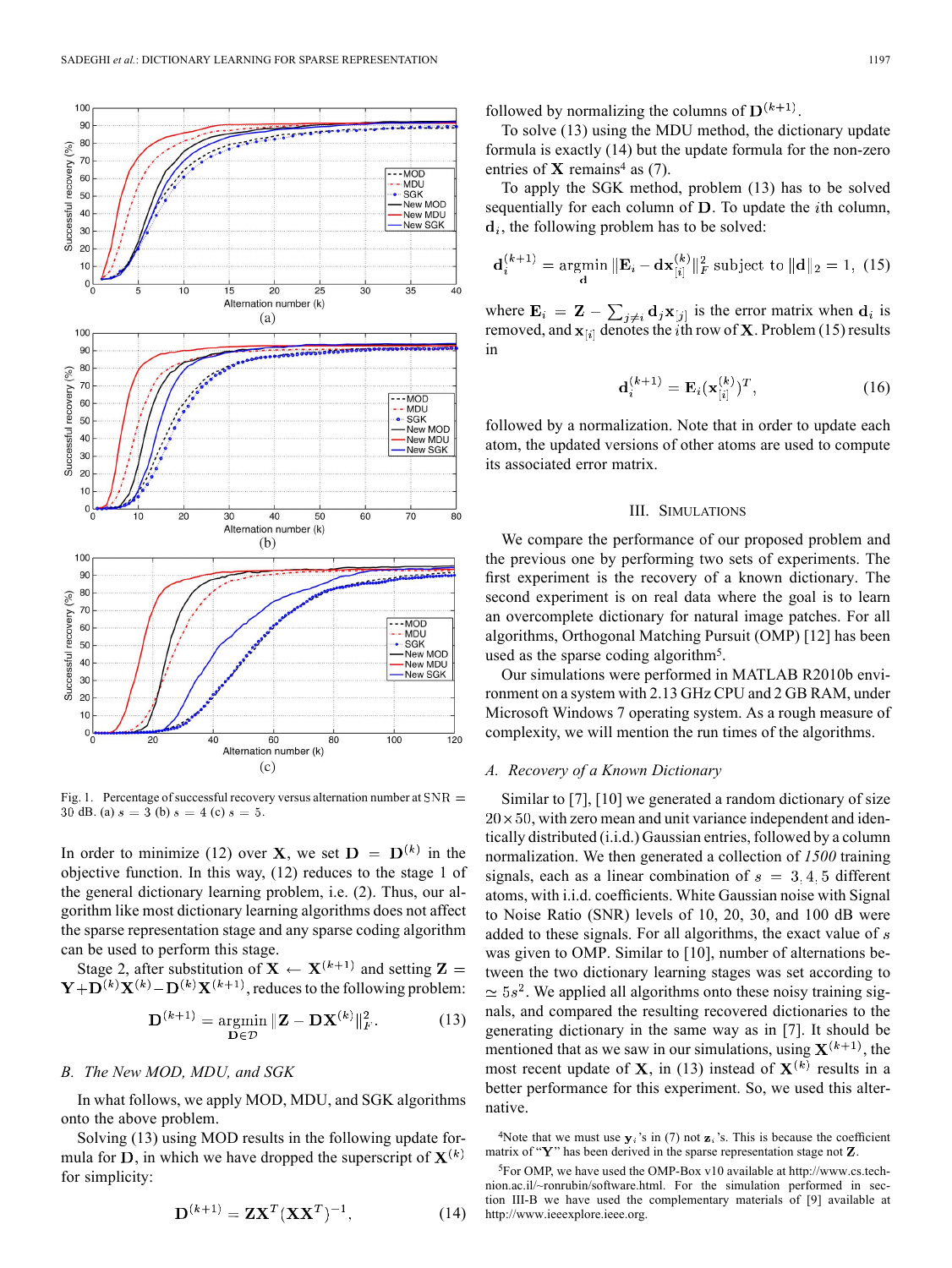

Fig. 1. Percentage of successful recovery versus alternation number at  $SNR =$ 30 dB. (a)  $s = 3$  (b)  $s = 4$  (c)  $s = 5$ .

In order to minimize (12) over **X**, we set  $D = D^{(k)}$  in the objective function. In this way, (12) reduces to the stage 1 of the general dictionary learning problem, i.e. (2). Thus, our algorithm like most dictionary learning algorithms does not affect the sparse representation stage and any sparse coding algorithm can be used to perform this stage.

Stage 2, after substitution of  $X \leftarrow X^{(k+1)}$  and setting  $Z =$  $\mathbf{Y} + \mathbf{D}^{(k)} \mathbf{X}^{(k)} - \mathbf{D}^{(k)} \mathbf{X}^{(k+1)}$ , reduces to the following problem:

$$
\mathbf{D}^{(k+1)} = \underset{\mathbf{D} \in \mathcal{D}}{\operatorname{argmin}} \|\mathbf{Z} - \mathbf{D}\mathbf{X}^{(k)}\|_{F}^{2}.
$$
 (13)

## *B. The New MOD, MDU, and SGK*

In what follows, we apply MOD, MDU, and SGK algorithms onto the above problem.

Solving (13) using MOD results in the following update formula for D, in which we have dropped the superscript of  $X^{(k)}$ for simplicity:

$$
\mathbf{D}^{(k+1)} = \mathbf{Z}\mathbf{X}^T (\mathbf{X}\mathbf{X}^T)^{-1},\tag{14}
$$

followed by normalizing the columns of  $\mathbf{D}^{(k+1)}$ .

To solve (13) using the MDU method, the dictionary update formula is exactly (14) but the update formula for the non-zero entries of  $X$  remains<sup>4</sup> as (7).

To apply the SGK method, problem (13) has to be solved sequentially for each column of  $D$ . To update the *i*th column,  $\mathbf{d}_i$ , the following problem has to be solved:

$$
\mathbf{d}_{i}^{(k+1)} = \underset{\mathbf{d}}{\text{argmin}} \|\mathbf{E}_{i} - \mathbf{dx}_{[i]}^{(k)}\|_{F}^{2} \text{ subject to } \|\mathbf{d}\|_{2} = 1, \text{ (15)}
$$

where  $\mathbf{E}_i = \mathbf{Z} - \sum_{j \neq i} \mathbf{d}_j \mathbf{x}_{[j]}$  is the error matrix when  $\mathbf{d}_i$  is removed, and  $x_{[i]}$  denotes the *i*th row of **X**. Problem (15) results in

$$
\mathbf{d}_i^{(k+1)} = \mathbf{E}_i (\mathbf{x}_{[i]}^{(k)})^T, \tag{16}
$$

followed by a normalization. Note that in order to update each atom, the updated versions of other atoms are used to compute its associated error matrix.

#### III. SIMULATIONS

We compare the performance of our proposed problem and the previous one by performing two sets of experiments. The first experiment is the recovery of a known dictionary. The second experiment is on real data where the goal is to learn an overcomplete dictionary for natural image patches. For all algorithms, Orthogonal Matching Pursuit (OMP) [12] has been used as the sparse coding algorithm5.

Our simulations were performed in MATLAB R2010b environment on a system with 2.13 GHz CPU and 2 GB RAM, under Microsoft Windows 7 operating system. As a rough measure of complexity, we will mention the run times of the algorithms.

## *A. Recovery of a Known Dictionary*

Similar to [7], [10] we generated a random dictionary of size  $20 \times 50$ , with zero mean and unit variance independent and identically distributed (i.i.d.) Gaussian entries, followed by a column normalization. We then generated a collection of *1500* training signals, each as a linear combination of  $s = 3, 4, 5$  different atoms, with i.i.d. coefficients. White Gaussian noise with Signal to Noise Ratio (SNR) levels of 10, 20, 30, and 100 dB were added to these signals. For all algorithms, the exact value of  $s$ was given to OMP. Similar to [10], number of alternations between the two dictionary learning stages was set according to  $\simeq 5s^2$ . We applied all algorithms onto these noisy training signals, and compared the resulting recovered dictionaries to the generating dictionary in the same way as in [7]. It should be mentioned that as we saw in our simulations, using  $X^{(k+1)}$ , the most recent update of **X**, in (13) instead of  $X^{(k)}$  results in a better performance for this experiment. So, we used this alternative.

<sup>4</sup>Note that we must use  $y_i$ 's in (7) not  $z_i$ 's. This is because the coefficient matrix of " $\mathbf{Y}$ " has been derived in the sparse representation stage not  $\mathbf{Z}$ .

<sup>5</sup>For OMP, we have used the OMP-Box v10 available at http://www.cs.technion.ac.il/~ronrubin/software.html. For the simulation performed in section III-B we have used the complementary materials of [9] available at http://www.ieeexplore.ieee.org.